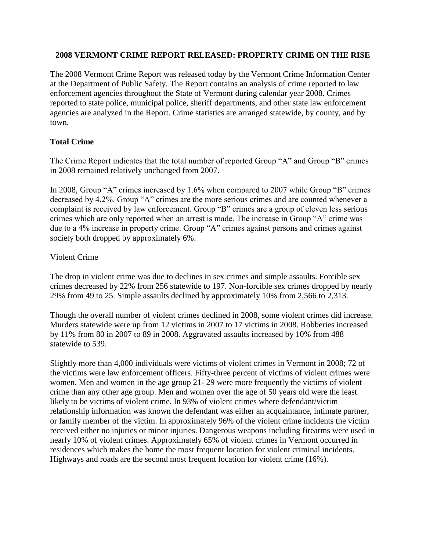#### **2008 VERMONT CRIME REPORT RELEASED: PROPERTY CRIME ON THE RISE**

The 2008 Vermont Crime Report was released today by the Vermont Crime Information Center at the Department of Public Safety. The Report contains an analysis of crime reported to law enforcement agencies throughout the State of Vermont during calendar year 2008. Crimes reported to state police, municipal police, sheriff departments, and other state law enforcement agencies are analyzed in the Report. Crime statistics are arranged statewide, by county, and by town.

### **Total Crime**

The Crime Report indicates that the total number of reported Group "A" and Group "B" crimes in 2008 remained relatively unchanged from 2007.

In 2008, Group "A" crimes increased by 1.6% when compared to 2007 while Group "B" crimes decreased by 4.2%. Group "A" crimes are the more serious crimes and are counted whenever a complaint is received by law enforcement. Group "B" crimes are a group of eleven less serious crimes which are only reported when an arrest is made. The increase in Group "A" crime was due to a 4% increase in property crime. Group "A" crimes against persons and crimes against society both dropped by approximately 6%.

### Violent Crime

The drop in violent crime was due to declines in sex crimes and simple assaults. Forcible sex crimes decreased by 22% from 256 statewide to 197. Non-forcible sex crimes dropped by nearly 29% from 49 to 25. Simple assaults declined by approximately 10% from 2,566 to 2,313.

Though the overall number of violent crimes declined in 2008, some violent crimes did increase. Murders statewide were up from 12 victims in 2007 to 17 victims in 2008. Robberies increased by 11% from 80 in 2007 to 89 in 2008. Aggravated assaults increased by 10% from 488 statewide to 539.

Slightly more than 4,000 individuals were victims of violent crimes in Vermont in 2008; 72 of the victims were law enforcement officers. Fifty-three percent of victims of violent crimes were women. Men and women in the age group 21- 29 were more frequently the victims of violent crime than any other age group. Men and women over the age of 50 years old were the least likely to be victims of violent crime. In 93% of violent crimes where defendant/victim relationship information was known the defendant was either an acquaintance, intimate partner, or family member of the victim. In approximately 96% of the violent crime incidents the victim received either no injuries or minor injuries. Dangerous weapons including firearms were used in nearly 10% of violent crimes. Approximately 65% of violent crimes in Vermont occurred in residences which makes the home the most frequent location for violent criminal incidents. Highways and roads are the second most frequent location for violent crime (16%).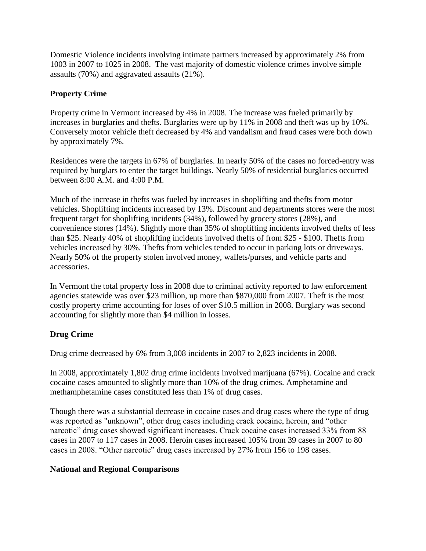Domestic Violence incidents involving intimate partners increased by approximately 2% from 1003 in 2007 to 1025 in 2008. The vast majority of domestic violence crimes involve simple assaults (70%) and aggravated assaults (21%).

## **Property Crime**

Property crime in Vermont increased by 4% in 2008. The increase was fueled primarily by increases in burglaries and thefts. Burglaries were up by 11% in 2008 and theft was up by 10%. Conversely motor vehicle theft decreased by 4% and vandalism and fraud cases were both down by approximately 7%.

Residences were the targets in 67% of burglaries. In nearly 50% of the cases no forced-entry was required by burglars to enter the target buildings. Nearly 50% of residential burglaries occurred between 8:00 A.M. and 4:00 P.M.

Much of the increase in thefts was fueled by increases in shoplifting and thefts from motor vehicles. Shoplifting incidents increased by 13%. Discount and departments stores were the most frequent target for shoplifting incidents (34%), followed by grocery stores (28%), and convenience stores (14%). Slightly more than 35% of shoplifting incidents involved thefts of less than \$25. Nearly 40% of shoplifting incidents involved thefts of from \$25 - \$100. Thefts from vehicles increased by 30%. Thefts from vehicles tended to occur in parking lots or driveways. Nearly 50% of the property stolen involved money, wallets/purses, and vehicle parts and accessories.

In Vermont the total property loss in 2008 due to criminal activity reported to law enforcement agencies statewide was over \$23 million, up more than \$870,000 from 2007. Theft is the most costly property crime accounting for loses of over \$10.5 million in 2008. Burglary was second accounting for slightly more than \$4 million in losses.

# **Drug Crime**

Drug crime decreased by 6% from 3,008 incidents in 2007 to 2,823 incidents in 2008.

In 2008, approximately 1,802 drug crime incidents involved marijuana (67%). Cocaine and crack cocaine cases amounted to slightly more than 10% of the drug crimes. Amphetamine and methamphetamine cases constituted less than 1% of drug cases.

Though there was a substantial decrease in cocaine cases and drug cases where the type of drug was reported as "unknown", other drug cases including crack cocaine, heroin, and "other narcotic" drug cases showed significant increases. Crack cocaine cases increased 33% from 88 cases in 2007 to 117 cases in 2008. Heroin cases increased 105% from 39 cases in 2007 to 80 cases in 2008. "Other narcotic" drug cases increased by 27% from 156 to 198 cases.

### **National and Regional Comparisons**